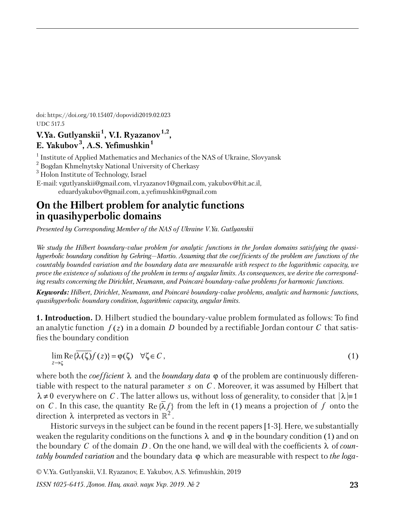doi: https://doi.org/10.15407/dopovidi2019.02.023 UDC 517.5

## **V.Ya. Gutlyanskii <sup>1</sup> , V.I. Ryazanov1,2 , E. Yakubov<sup>3</sup> , A.S. Yefimushkin<sup>1</sup>**

<sup>1</sup> Institute of Applied Mathematics and Mechanics of the NAS of Ukraine, Slovyansk

 $^{2}$  Bogdan Khmelnytsky National University of Cherkasy

 $^3$  Holon Institute of Technology, Israel

E-mail: vgutlyanskii@gmail.com, vl.ryazanov1@gmail.com, yakubov@hit.ac.il, eduardyakubov@gmail.com, a.yefimushkin@gmail.com

# **On the Hilbert problem for analytic functions in quasihyperbolic domains**

*Presented by Corresponding Member of the NAS of Ukraine V.Ya. Gutlyanskii*

*We study the Hilbert boundary-value problem for analytic functions in the Jordan domains satisfying the quasihyperbolic boundary condition by Gehring—Martio. Assuming that the coefficients of the problem are functions of the countably bounded variation and the boundary data are measurable with respect to the logarithmic capacity, we prove the existence of solutions of the problem in terms of angular limits. As consequences, we derive the corresponding results concerning the Dirichlet, Neumann, and Poincaré boundary-value problems for harmonic functions.*

*Keywords: Hilbert, Dirichlet, Neumann, and Poincaré boundary-value problems, analytic and harmonic functions, quasihyperbolic boundary condition, logarithmic capacity, angular limits.*

**1. Introduction.** D. Hilbert studied the boundary-value problem formulated as follows: To find an analytic function  $f(z)$  in a domain D bounded by a rectifiable Jordan contour C that satisfies the boundary condition

$$
\lim_{z \to \zeta} \text{Re}\{\overline{\lambda(\zeta)}f(z)\} = \varphi(\zeta) \quad \forall \zeta \in C,
$$
\n(1)

where both the *coefficient* λ and the *boundary data* ϕ of the problem are continuously differentiable with respect to the natural parameter *s* on *C* . Moreover, it was assumed by Hilbert that  $\lambda \neq 0$  everywhere on C. The latter allows us, without loss of generality, to consider that  $|\lambda| = 1$ on *C*. In this case, the quantity Re  $\{\lambda f\}$  from the left in (1) means a projection of *f* onto the direction  $\lambda$  interpreted as vectors in  $\mathbb{R}^2$ .

Historic surveys in the subject can be found in the recent papers [1-3]. Here, we substantially weaken the regularity conditions on the functions  $\lambda$  and  $\varphi$  in the boundary condition (1) and on the boundary C of the domain  $D$ . On the one hand, we will deal with the coefficients  $\lambda$  of *countably bounded variation* and the boundary data ϕ which are measurable with respect to *the loga-*

© V.Ya. Gutlyanskii, V.I. Ryazanov, E. Yakubov, A.S. Yefimushkin, 2019

*ISSN 1025-6415. Допов. Нац. акад. наук Укр. 2019. № 2* **23**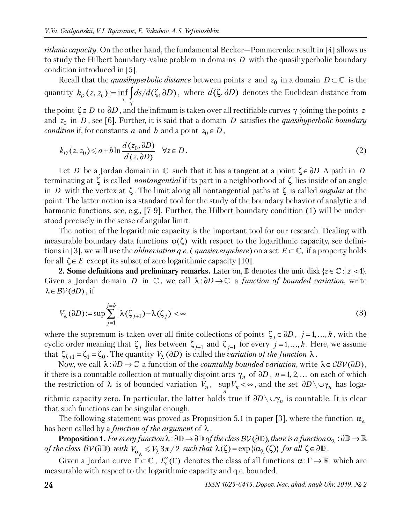*rithmic capacity*. On the other hand, the fundamental Becker—Pommerenke result in [4] allows us to study the Hilbert boundary-value problem in domains *D* with the quasihyperbolic boundary condition introduced in [5].

Recall that the *quasihyperbolic distance* between points  $z$  and  $z_0$  in a domain  $D \subset \mathbb{C}$  is the quantity  $k_D(z, z_0) := \inf_{\gamma} \int_{\gamma} ds/d(\zeta, \partial D)$ , where  $d(\zeta, \partial D)$  denotes the Euclidean distance from the point  $\zeta \in D$  to  $\partial D$ , and the infimum is taken over all rectifiable curves  $\gamma$  joining the points *z* and  $z_0$  in *D*, see [6]. Further, it is said that a domain *D* satisfies the *quasihyperbolic boundary condition* if, for constants *a* and *b* and a point  $z_0 \in D$ ,

$$
k_D(z, z_0) \leq a + b \ln \frac{d(z_0, \partial D)}{d(z, \partial D)} \quad \forall z \in D.
$$
\n<sup>(2)</sup>

Let *D* be a Jordan domain in  $\mathbb C$  such that it has a tangent at a point  $\zeta \in \partial D$  A path in *D* terminating at ζ is called *nontangential* if its part in a neighborhood of ζ lies inside of an angle in *D* with the vertex at ζ . The limit along all nontangential paths at ζ is called *angular* at the point. The latter notion is a standard tool for the study of the boundary behavior of analytic and harmonic functions, see, e.g., [7-9]. Further, the Hilbert boundary condition (1) will be understood precisely in the sense of angular limit.

The notion of the logarithmic capacity is the important tool for our research. Dealing with measurable boundary data functions  $\varphi(\zeta)$  with respect to the logarithmic capacity, see definitions in [3], we will use the *abbreviation q.e.* (*quasieverywhere*) on a set  $E \subset \mathbb{C}$ , if a property holds for all  $\zeta \in E$  except its subset of zero logarithmic capacity [10].

**2. Some definitions and preliminary remarks.** Later on,  $\mathbb{D}$  denotes the unit disk { $z \in \mathbb{C}$  :  $|z| < 1$ }. Given a Jordan domain *D* in  $\mathbb{C}$ , we call  $\lambda : \partial D \to \mathbb{C}$  a *function of bounded variation*, write  $\lambda \in BV(\partial D)$ , if

$$
V_{\lambda}(\partial D) := \sup \sum_{j=1}^{j=k} |\lambda(\zeta_{j+1}) - \lambda(\zeta_j)| < \infty
$$
 (3)

where the supremum is taken over all finite collections of points  $\zeta_i \in \partial D$ ,  $j = 1, ..., k$ , with the cyclic order meaning that  $\zeta_j$  lies between  $\zeta_{j+1}$  and  $\zeta_{j-1}$  for every  $j=1,...,k$ . Here, we assume that  $\zeta_{k+1} = \zeta_1 = \zeta_0$ . The quantity  $V_\lambda(\partial D)$  is called the *variation of the function*  $\lambda$ .

Now, we call  $\lambda : \partial D \to \mathbb{C}$  a function of the *countably bounded variation*, write  $\lambda \in \mathcal{CBV}(\partial D)$ , if there is a countable collection of mutually disjoint arcs  $\gamma_n$  of  $\partial D$  ,  $n = 1, 2, ...$  on each of which the restriction of  $\lambda$  is of bounded variation  $V_n$ ,  $\sup V_n < \infty$ , and the set  $\partial D \setminus \cup \gamma_n$  has loga*n* rithmic capacity zero. In particular, the latter holds true if  $\partial D\setminus \cup \gamma_n$  is countable. It is clear that such functions can be singular enough.

The following statement was proved as Proposition 5.1 in paper [3], where the function  $\alpha_{\lambda}$ has been called by a *function of the argument* of λ .

**Proposition 1.** *For every function*  $\lambda : \partial \mathbb{D} \to \partial \mathbb{D}$  *of the class*  $\mathcal{BV}(\partial \mathbb{D})$ *, there is a function*  $\alpha_{\lambda} : \partial \mathbb{D} \to \mathbb{R}$  $\alpha$  *of the class BV*( $\partial \mathbb{D}$ ) with  $V_{\alpha_{\lambda}} \leqslant V_{\lambda} 3\pi/2$  such that  $\lambda(\zeta)$  =  $\exp\{i\alpha_{\lambda}(\zeta)\}$  for all  $\zeta$   $\in$   $\partial \mathbb{D}$  .

Given a Jordan curve  $\Gamma \subset \mathbb{C}$ ,  $L_c^{\infty}(\Gamma)$  denotes the class of all functions  $\alpha : \Gamma \to \mathbb{R}$  which are measurable with respect to the logarithmic capacity and q.e. bounded.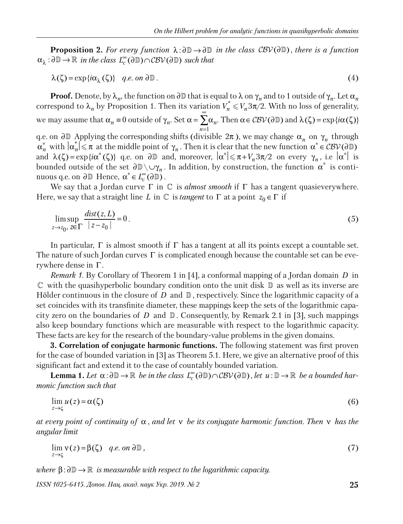**Proposition 2.** For every function  $\lambda : \partial \mathbb{D} \to \partial \mathbb{D}$  in the class  $\mathcal{CBV}(\partial \mathbb{D})$ , there is a function  $\alpha_{\lambda} : \partial \mathbb{D} \to \mathbb{R}$  in the class  $L_c^{\infty}(\partial \mathbb{D}) \cap \mathcal{CBV}(\partial \mathbb{D})$  such that

$$
\lambda(\zeta) = \exp\{i\alpha_{\lambda}(\zeta)\} \quad q.e. \text{ on } \partial \mathbb{D} \,. \tag{4}
$$

**Proof.** Denote, by  $\lambda_n$ , the function on ∂D that is equal to  $\lambda$  on  $\gamma_n$  and to 1 outside of  $\gamma_n$ . Let  $\alpha_n$ correspond to  $\lambda_n$  by Proposition 1. Then its variation  $V_n^* \leq V_n 3\pi/2$ . With no loss of generality, we may assume that  $\alpha_n \equiv 0$  outside of  $\gamma_n$ . Set  $\alpha = \sum \alpha_n$  $n=1$  $\alpha = \sum_{n=-\infty}^{\infty} \alpha_n$ . Then  $\alpha \in \mathcal{CBV}(\partial \mathbb{D})$  and  $\lambda(\zeta) = \exp{\{i\alpha(\zeta)\}}$ q.e. on  $\partial \mathbb{D}$  Applying the corresponding shifts (divisible  $2\pi$ ), we may change  $\alpha_n$  on  $\gamma_n$  through  $\alpha_n^*$  with  $|\alpha_n^*| \leq \pi$  at the middle point of  $\gamma_n$ . Then it is clear that the new function  $\alpha^* \in \mathcal{CBV}(\partial \mathbb{D})$ and  $\lambda(\zeta) = \exp\{i\alpha^*(\zeta)\}\$  q.e. on  $\partial \mathbb{D}$  and, moreover,  $|\alpha^*| \leq \pi + V_n 3\pi/2$  on every  $\gamma_n$ , i.e  $|\alpha^*|$  is bounded outside of the set  $\partial \mathbb{D} \setminus \cup \gamma_n$ . In addition, by construction, the function  $\alpha^*$  is continuous q.e. on  $\partial \mathbb{D}$  Hence,  $\alpha^* \in L_c^{\infty}(\partial \mathbb{D})$ .

We say that a Jordan curve  $\Gamma$  in  $\mathbb C$  is *almost smooth* if  $\Gamma$  has a tangent quasieverywhere. Here, we say that a straight line *L* in  $\mathbb C$  is *tangent* to  $\Gamma$  at a point  $z_0 \in \Gamma$  if

$$
\limsup_{z \to z_0, z \in \Gamma} \frac{\text{dist}(z, L)}{|z - z_0|} = 0. \tag{5}
$$

In particular,  $\Gamma$  is almost smooth if  $\Gamma$  has a tangent at all its points except a countable set. The nature of such Jordan curves  $\Gamma$  is complicated enough because the countable set can be everywhere dense in Γ .

*Remark 1.* By Corollary of Theorem 1 in [4], a conformal mapping of a Jordan domain *D* in  $\mathbb C$  with the quasihyperbolic boundary condition onto the unit disk  $\mathbb D$  as well as its inverse are Hölder continuous in the closure of *D* and  $\mathbb{D}$ , respectively. Since the logarithmic capacity of a set coincides with its transfinite diameter, these mappings keep the sets of the logarithmic capacity zero on the boundaries of *D* and  $\mathbb{D}$ . Consequently, by Remark 2.1 in [3], such mappings also keep boundary functions which are measurable with respect to the logarithmic capacity. These facts are key for the research of the boundary-value problems in the given domains.

**3. Correlation of conjugate harmonic functions.** The following statement was first proven for the case of bounded variation in [3] as Theorem 5.1. Here, we give an alternative proof of this significant fact and extend it to the case of countably bounded variation.

**Lemma 1.** Let  $\alpha : \partial \mathbb{D} \to \mathbb{R}$  be in the class  $L_c^{\infty}(\partial \mathbb{D}) \cap \mathcal{CBV}(\partial \mathbb{D})$ , let  $u : \mathbb{D} \to \mathbb{R}$  be a bounded har*monic function such that*

$$
\lim_{z \to \zeta} u(z) = \alpha(\zeta) \tag{6}
$$

*at every point of continuity of* α , *and let* ν *be its conjugate harmonic function. Then* ν *has the angular limit*

$$
\lim_{z \to \zeta} v(z) = \beta(\zeta) \quad q.e. \text{ on } \partial \mathbb{D}, \tag{7}
$$

 $\phi$  *where*  $\beta : \partial \mathbb{D} \to \mathbb{R}$  *is measurable with respect to the logarithmic capacity.* 

*ISSN 1025-6415. Допов. Нац. акад. наук Укр. 2019. № 2* **25**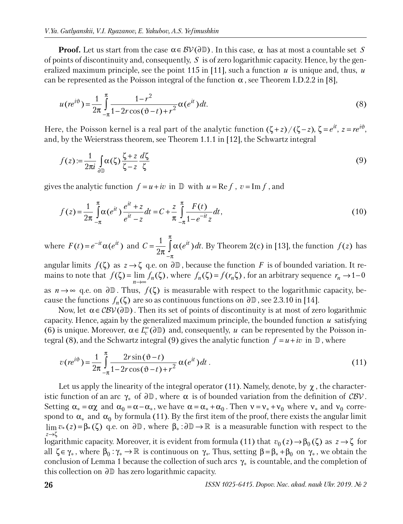**Proof.** Let us start from the case  $\alpha \in B\mathcal{V}(\partial \mathbb{D})$ . In this case,  $\alpha$  has at most a countable set *S* of points of discontinuity and, consequently, *S* is of zero logarithmic capacity. Hence, by the generalized maximum principle, see the point 115 in [11], such a function  $u$  is unique and, thus,  $u$ can be represented as the Poisson integral of the function  $\alpha$ , see Theorem I.D.2.2 in [8],

$$
u(re^{i\vartheta}) = \frac{1}{2\pi} \int_{-\pi}^{\pi} \frac{1 - r^2}{1 - 2r\cos(\vartheta - t) + r^2} \alpha(e^{it}) dt.
$$
 (8)

Here, the Poisson kernel is a real part of the analytic function  $(\zeta + z) / (\zeta - z)$ ,  $\zeta = e^{it}$ ,  $z = re^{i\vartheta}$ , and, by the Weierstrass theorem, see Theorem 1.1.1 in [12], the Schwartz integral

$$
f(z) := \frac{1}{2\pi i} \int_{\partial \mathbb{D}} \alpha(\zeta) \frac{\zeta + z}{\zeta - z} \frac{d\zeta}{\zeta}
$$
 (9)

gives the analytic function  $f = u + iv$  in  $\mathbb D$  with  $u = \text{Re } f$ ,  $v = \text{Im } f$ , and

$$
f(z) = \frac{1}{2\pi} \int_{-\pi}^{\pi} \alpha(e^{it}) \frac{e^{it} + z}{e^{it} - z} dt = C + \frac{z}{\pi} \int_{-\pi}^{\pi} \frac{F(t)}{1 - e^{-it}z} dt,
$$
\n(10)

where  $F(t) = e^{-it}\alpha(e^{it})$  and  $C = \frac{1}{2} \int_{0}^{h} \alpha(e^{it})$ 2  $C = \frac{1}{\alpha} \int \alpha(e^{it}) dt$ π −π  $=\frac{1}{\Omega}$  |  $\alpha$  $\frac{1}{\pi} \int_{-\pi}^{\pi} \alpha(e^{it}) dt$ . By Theorem 2(c) in [13], the function  $f(z)$  has

angular limits  $f(\zeta)$  as  $z \to \zeta$  q.e. on  $\partial \mathbb{D}$ , because the function *F* is of bounded variation. It remains to note that  $f(\zeta) = \lim_{n \to \infty} f_n(\zeta)$ , where  $f_n(\zeta) = f(r_n \zeta)$ , for an arbitrary sequence  $r_n \to 1-0$ as  $n \to \infty$  q.e. on  $\partial \mathbb{D}$ . Thus,  $f(\zeta)$  is measurable with respect to the logarithmic capacity, because the functions  $f_n(\zeta)$  are so as continuous functions on  $\partial \mathbb{D}$  , see 2.3.10 in [14].

Now, let  $\alpha \in \mathcal{CBV}(\partial \mathbb{D})$ . Then its set of points of discontinuity is at most of zero logarithmic capacity. Hence, again by the generalized maximum principle, the bounded function *u* satisfying (6) is unique. Moreover,  $\alpha \in L_c^{\infty}(\partial \mathbb{D})$  and, consequently, *u* can be represented by the Poisson integral (8), and the Schwartz integral (9) gives the analytic function  $f = u + iv$  in  $\mathbb{D}$ , where

$$
v(re^{i\vartheta}) = \frac{1}{2\pi} \int_{-\pi}^{\pi} \frac{2r\sin(\vartheta - t)}{1 - 2r\cos(\vartheta - t) + r^2} \alpha(e^{it}) dt.
$$
 (11)

Let us apply the linearity of the integral operator (11). Namely, denote, by  $\chi$ , the characteristic function of an arc  $\gamma_*$  of  $\partial \mathbb{D}$ , where  $\alpha$  is of bounded variation from the definition of  $\mathcal{CBV}$ . Setting  $\alpha_* = \alpha \chi$  and  $\alpha_0 = \alpha - \alpha_*$ , we have  $\alpha = \alpha_* + \alpha_0$ . Then  $v = v_* + v_0$  where  $v_*$  and  $v_0$  correspond to  $\alpha_*$  and  $\alpha_0$  by formula (11). By the first item of the proof, there exists the angular limit  $\lim_{\alpha} v_*(z) = \beta_*(\zeta)$  q.e. on  $\partial \mathbb{D}$ , where  $\beta_* : \partial \mathbb{D} \to \mathbb{R}$  is a measurable function with respect to the *z* →ζ logarithmic capacity. Moreover, it is evident from formula (11) that  $v_0(z) \to \beta_0(\zeta)$  as  $z \to \zeta$  for all  $\zeta \in \gamma_*$ , where  $\beta_0 : \gamma_* \to \mathbb{R}$  is continuous on  $\gamma_*$ . Thus, setting  $\beta = \beta_* + \beta_0$  on  $\gamma_*$ , we obtain the conclusion of Lemma 1 because the collection of such arcs  $\gamma_*$  is countable, and the completion of this collection on ∂D has zero logarithmic capacity.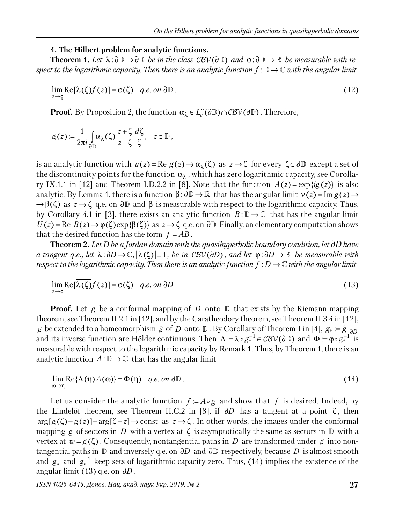#### **4. The Hilbert problem for analytic functions.**

**Theorem 1.** Let  $\lambda : \partial \mathbb{D} \to \partial \mathbb{D}$  be in the class  $\mathcal{CBV}(\partial \mathbb{D})$  and  $\varphi : \partial \mathbb{D} \to \mathbb{R}$  be measurable with re*spect to the logarithmic capacity. Then there is an analytic function*  $f : \mathbb{D} \to \mathbb{C}$  *with the angular limit* 

$$
\lim_{z \to \zeta} \text{Re}[\overline{\lambda(\zeta)}f(z)] = \varphi(\zeta) \quad q.e. \text{ on } \partial \mathbb{D}. \tag{12}
$$

**Proof.** By Proposition 2, the function  $\alpha_{\lambda} \in L_c^{\infty}(\partial \mathbb{D}) \cap \mathcal{CBV}(\partial \mathbb{D})$ . Therefore,

$$
g(z) := \frac{1}{2\pi i} \int_{\partial \mathbb{D}} \alpha_{\lambda}(\zeta) \frac{z + \zeta}{z - \zeta} \frac{d\zeta}{\zeta}, \quad z \in \mathbb{D},
$$

is an analytic function with  $u(z) = \text{Re } g(z) \to \alpha_\lambda(\zeta)$  as  $z \to \zeta$  for every  $\zeta \in \partial \mathbb{D}$  except a set of the discontinuity points for the function  $\alpha_{\lambda}$  , which has zero logarithmic capacity, see Corollary IX.1.1 in [12] and Theorem I.D.2.2 in [8]. Note that the function  $A(z) = \exp\{i g(z)\}\$ is also analytic. By Lemma 1, there is a function  $\beta$ :  $\partial \mathbb{D} \to \mathbb{R}$  that has the angular limit  $v(z) = \text{Im } g(z) \to$  $\rightarrow \beta(\zeta)$  as  $z \rightarrow \zeta$  q.e. on ∂D and  $\beta$  is measurable with respect to the logarithmic capacity. Thus, by Corollary 4.1 in [3], there exists an analytic function  $B: \mathbb{D} \to \mathbb{C}$  that has the angular limit  $U(z) = \text{Re } B(z) \rightarrow \varphi(\zeta) \exp{\{\beta(\zeta)\}}$  as  $z \rightarrow \zeta$  q.e. on ∂D Finally, an elementary computation shows that the desired function has the form  $f = AB$ .

**Theorem 2.** *Let D be a Jordan domain with the quasihyperbolic boundary condition, let* ∂*D have a tangent q.e., let*  $\lambda : \partial D \to \mathbb{C}, |\lambda(\zeta)| = 1$ , *be in CBV(* $\partial D$ *), and let*  $\varphi : \partial D \to \mathbb{R}$  *be measurable with respect to the logarithmic capacity. Then there is an analytic function*  $f: D \to \mathbb{C}$  *with the angular limit* 

$$
\lim_{z \to \zeta} \text{Re}[\overline{\lambda(\zeta)}f(z)] = \varphi(\zeta) \quad q.e. \text{ on } \partial D \tag{13}
$$

**Proof.** Let  $g$  be a conformal mapping of  $D$  onto  $\mathbb D$  that exists by the Riemann mapping theorem, see Theorem II.2.1 in [12], and by the Caratheodory theorem, see Theorem II.3.4 in [12], *g* be extended to a homeomorphism  $\tilde{g}$  of  $\overline{D}$  onto  $\overline{\mathbb{D}}$  . By Corollary of Theorem 1 in [4],  $g_* \coloneqq \tilde{g}|_{\partial D}$ and its inverse function are Hölder continuous. Then  $\Lambda := \lambda \circ g_*^{-1} \in \mathcal{CBV}(\partial \mathbb{D})$  and  $\Phi := \varphi \circ g_*^{-1}$  is measurable with respect to the logarithmic capacity by Remark 1. Thus, by Theorem 1, there is an analytic function  $A: \mathbb{D} \to \mathbb{C}$  that has the angular limit

$$
\lim_{\omega \to \eta} \text{Re}\{\overline{\Lambda(\eta)}A(\omega)\} = \Phi(\eta) \quad q.e. \text{ on } \partial \mathbb{D}. \tag{14}
$$

Let us consider the analytic function  $f := A \circ g$  and show that f is desired. Indeed, by the Lindelöf theorem, see Theorem II.C.2 in [8], if  $\partial D$  has a tangent at a point  $\zeta$ , then  $arg[g(\zeta)-g(z)]-arg[\zeta-z] \rightarrow \text{const}$  as  $z \rightarrow \zeta$ . In other words, the images under the conformal mapping *g* of sectors in *D* with a vertex at  $\zeta$  is asymptotically the same as sectors in  $\mathbb D$  with a vertex at  $w = g(\zeta)$ . Consequently, nontangential paths in *D* are transformed under *g* into nontangential paths in  $\mathbb D$  and inversely q.e. on  $\partial D$  and  $\partial \mathbb D$  respectively, because *D* is almost smooth and  $g_*$  and  $g_*^{-1}$  keep sets of logarithmic capacity zero. Thus, (14) implies the existence of the angular limit (13) q.e. on ∂*D* .

*ISSN 1025-6415. Допов. Нац. акад. наук Укр. 2019. № 2* **27**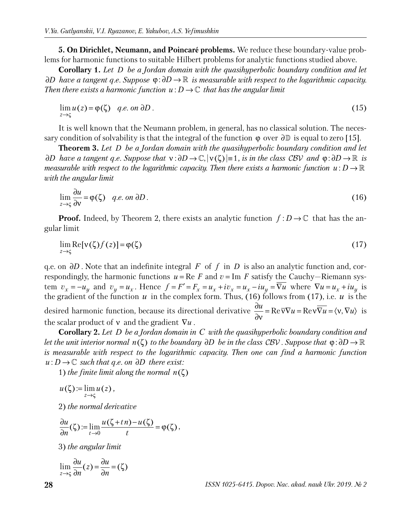**5. On Dirichlet, Neumann, and Poincaré problems.** We reduce these boundary-value problems for harmonic functions to suitable Hilbert problems for analytic functions studied above.

**Corollary 1.** *Let D be a Jordan domain with the quasihyperbolic boundary condition and let*  ∂*D* have a tangent q.e. Suppose  $\phi$ :∂*D* → ℝ is measurable with respect to the logarithmic capacity. *Then there exists a harmonic function*  $u: D \to \mathbb{C}$  *that has the angular limit* 

$$
\lim_{z \to \zeta} u(z) = \varphi(\zeta) \quad q.e. \text{ on } \partial D. \tag{15}
$$

It is well known that the Neumann problem, in general, has no classical solution. The necessary condition of solvability is that the integral of the function  $\varphi$  over  $\partial \mathbb{D}$  is equal to zero [15].

**Theorem 3.** *Let D be a Jordan domain with the quasihyperbolic boundary condition and let*   $\partial D$  have a tangent q.e. Suppose that  $v : \partial D \to \mathbb{C}, |\nu(\zeta)| = 1$ , is in the class CBV and  $\varphi : \partial D \to \mathbb{R}$  is *measurable with respect to the logarithmic capacity. Then there exists a harmonic function*  $u: D \to \mathbb{R}$ *with the angular limit*

$$
\lim_{z \to \zeta} \frac{\partial u}{\partial v} = \varphi(\zeta) \quad q.e. \text{ on } \partial D. \tag{16}
$$

**Proof.** Indeed, by Theorem 2, there exists an analytic function  $f: D \to \mathbb{C}$  that has the angular limit

$$
\lim_{z \to \zeta} \text{Re}[\nu(\zeta)f(z)] = \varphi(\zeta) \tag{17}
$$

q.e. on ∂*D* . Note that an indefinite integral *F* of *f* in *D* is also an analytic function and, correspondingly, the harmonic functions  $u = \text{Re } F$  and  $v = \text{Im } F$  satisfy the Cauchy-Riemann system  $v_x = -u_y$  and  $v_y = u_x$ . Hence  $f = F' = F_x = u_x + iv_x = u_x - iu_y = \overline{\nabla u}$  where  $\nabla u = u_x + iu_y$  is the gradient of the function  $u$  in the complex form. Thus, (16) follows from (17), i.e.  $u$  is the desired harmonic function, because its directional derivative  $\frac{\partial u}{\partial x} = \text{Re}\,\overline{v} \nabla u = \text{Re}v \overline{\nabla u} = \langle v, \nabla u \rangle$ ∂ν is the scalar product of ν and the gradient ∇*u* .

**Corollary 2.** *Let D be a Jordan domain in C with the quasihyperbolic boundary condition and let the unit interior normal n*( $\zeta$ ) *to the boundary ∂D be in the class CBV . Suppose that*  $\varphi$ : $\partial D \to \mathbb{R}$ *is measurable with respect to the logarithmic capacity. Then one can find a harmonic function u* : *D* →  $\mathbb C$  *such that q.e. on ∂D there exist:* 

1) the finite limit along the normal  $n(\zeta)$ 

$$
u(\zeta) := \lim_{z \to \zeta} u(z),
$$

2) *the normal derivative* 

$$
\frac{\partial u}{\partial n}(\zeta) := \lim_{t \to 0} \frac{u(\zeta + t n) - u(\zeta)}{t} = \varphi(\zeta),
$$

3) *the angular limit*

$$
\lim_{z \to \varsigma} \frac{\partial u}{\partial n}(z) = \frac{\partial u}{\partial n} = (\zeta)
$$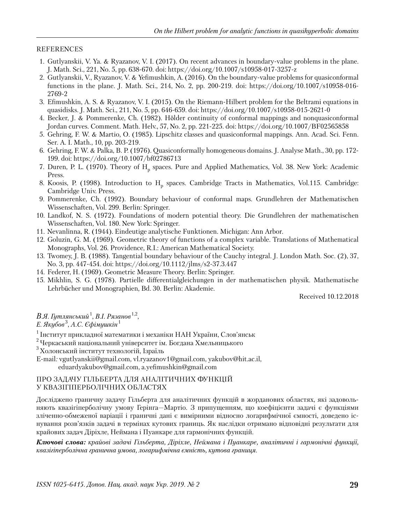#### REFERENCES

- 1. Gutlyanskii, V. Ya. & Ryazanov, V. I. (2017). On recent advances in boundary-value problems in the plane. J. Math. Sci., 221, No. 5, pp. 638-670. doi: https://doi.org/10.1007/s10958-017-3257-z
- 2. Gutlyanskii, V., Ryazanov, V. & Yefimushkin, A. (2016). On the boundary-value problems for quasiconformal functions in the plane. J. Math. Sci., 214, No. 2, pp. 200-219. doi: https://doi.org/10.1007/s10958-016- 2769-2
- 3. Efimushkin, A. S. & Ryazanov, V. I. (2015). On the Riemann-Hilbert problem for the Beltrami equations in quasidisks. J. Math. Sci., 211, No. 5, pp. 646-659. doi: https://doi.org/10.1007/s10958-015-2621-0
- 4. Becker, J. & Pommerenke, Ch. (1982). Hölder continuity of conformal mappings and nonquasiconformal Jordan curves. Comment. Math. Helv., 57, No. 2, pp. 221-225. doi: https://doi.org/10.1007/BF02565858
- 5. Gehring, F. W. & Martio, O. (1985). Lipschitz classes and quasiconformal mappings. Ann. Acad. Sci. Fenn. Ser. A. I. Math., 10, pp. 203-219.
- 6. Gehring, F. W. & Palka, B. P. (1976). Quasiconformally homogeneous domains. J. Analyse Math., 30, pp. 172- 199. doi: https://doi.org/10.1007/bf02786713
- 7. Duren, P. L. (1970). Theory of  $H_p$  spaces. Pure and Applied Mathematics, Vol. 38. New York: Academic Press.
- 8. Koosis, P. (1998). Introduction to  $H_p$  spaces. Cambridge Tracts in Mathematics, Vol.115. Cambridge: Cambridge Univ. Press.
- 9. Pommerenke, Ch. (1992). Boundary behaviour of conformal maps. Grundlehren der Mathematischen Wissenschaften, Vol. 299. Berlin: Springer.
- 10. Landkof, N. S. (1972). Foundations of modern potential theory. Die Grundlehren der mathematischen Wissenschaften, Vol. 180. New York: Springer.
- 11. Nevanlinna, R. (1944). Eindeutige analytische Funktionen. Michigan: Ann Arbor.
- 12. Goluzin, G. M. (1969). Geometric theory of functions of a complex variable. Translations of Mathematical Monographs, Vol. 26. Providence, R.I.: American Mathematical Society.
- 13. Twomey, J. B. (1988). Tangential boundary behaviour of the Cauchy integral. J. London Math. Soc. (2), 37, No. 3, pp. 447-454. doi: https://doi.org/10.1112/jlms/s2-37.3.447
- 14. Federer, H. (1969). Geometric Measure Theory. Berlin: Springer.
- 15. Mikhlin, S. G. (1978). Partielle differentialgleichungen in der mathematischen physik. Mathematische Lehrbücher und Monographien, Bd. 30. Berlin: Akademie.

Received 10.12.2018

*В.Я. Гутлянський*<sup>1</sup> , *В.І. Рязанов* 1,2 , *Е. Якубов* $^3$ *, А.С. Єфімушкін* $^1$ 

<sup>1</sup>Інститут прикладної математики і механіки НАН України, Слов'янськ

- е піститу і приладаться англіні.<br><sup>2</sup> Черкаський національний університет ім. Богдана Хмельницького
- <sup>3</sup>Холонський інститут технологій, Ізраїль

E-mail*:* vgutlyanskii@gmail.com, vl.ryazanov1@gmail.com, yakubov@hit.ac.il, eduardyakubov@gmail.com, a.yefimushkin@gmail.com

### ПРО ЗАДАЧУ ГІЛЬБЕРТА ДЛЯ АНАЛІТИЧНИХ ФУНКЦІЙ У КВАЗІГІПЕРБОЛІЧНИХ ОБЛАСТЯХ

Досліджено граничну задачу Гільберта для аналітичних функцій в жорданових областях, які задовольняють квазігіперболічну умову Герінга—Мартіо. З припущенням, що коефіцієнти задачі є функціями зліченно-обмеженої варіації і граничні дані є вимірними відносно логарифмічної ємності, доведено існування розв'язків задачі в термінах кутових границь. Як наслідки отримано відповідні результати для крайових задач Діріхле, Неймана і Пуанкаре для гармонічних функцій.

*Ключові слова: крайові задачі Гільберта, Діріхле, Неймана і Пуанкаре, аналітичні і гармонічні функції, квазігіперболічна гранична умова, логарифмічна ємність, кутова границя.*